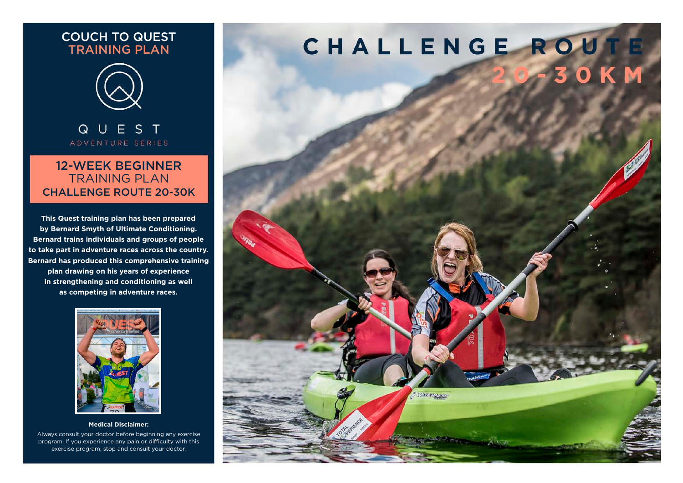## COUCH TO QUEST TRAINING PLAN



QUEST ADVENTURE SERIES

## 12-WEEK BEGINNER TRAINING PLAN CHALLENGE ROUTE 20-30K

**This Quest training plan has been prepared by Bernard Smyth of Ultimate Conditioning. Bernard trains individuals and groups of people to take part in adventure races across the country. Bernard has produced this comprehensive training plan drawing on his years of experience in strengthening and conditioning as well as competing in adventure races.**



#### **Medical Disclaimer:**

Always consult your doctor before beginning any exercise program. If you experience any pain or difficulty with this exercise program, stop and consult your doctor.

# CHALLENGE ROUTE

Weeklass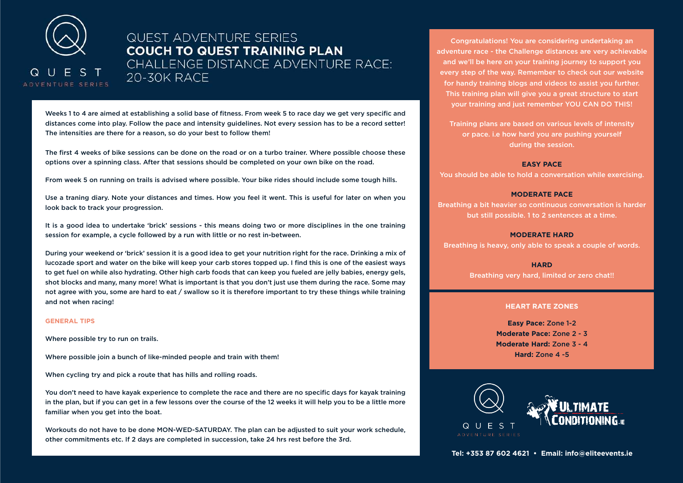

## **QUEST ADVENTURE SERIES COUCH TO QUEST TRAINING PLAN CHALLENGE DISTANCE ADVENTURE RACE:** 20-30K RACE

Weeks 1 to 4 are aimed at establishing a solid base of fitness. From week 5 to race day we get very specific and distances come into play. Follow the pace and intensity guidelines. Not every session has to be a record setter! The intensities are there for a reason, so do your best to follow them!

The first 4 weeks of bike sessions can be done on the road or on a turbo trainer. Where possible choose these options over a spinning class. After that sessions should be completed on your own bike on the road.

From week 5 on running on trails is advised where possible. Your bike rides should include some tough hills.

Use a traning diary. Note your distances and times. How you feel it went. This is useful for later on when you look back to track your progression.

It is a good idea to undertake 'brick' sessions - this means doing two or more disciplines in the one training session for example, a cycle followed by a run with little or no rest in-between.

During your weekend or 'brick' session it is a good idea to get your nutrition right for the race. Drinking a mix of lucozade sport and water on the bike will keep your carb stores topped up. I find this is one of the easiest ways to get fuel on while also hydrating. Other high carb foods that can keep you fueled are jelly babies, energy gels, shot blocks and many, many more! What is important is that you don't just use them during the race. Some may not agree with you, some are hard to eat / swallow so it is therefore important to try these things while training and not when racing!

#### **GENERAL TIPS**

Where possible try to run on trails.

Where possible join a bunch of like-minded people and train with them!

When cycling try and pick a route that has hills and rolling roads.

You don't need to have kayak experience to complete the race and there are no specific days for kayak training in the plan, but if you can get in a few lessons over the course of the 12 weeks it will help you to be a little more familiar when you get into the boat.

Workouts do not have to be done MON-WED-SATURDAY. The plan can be adjusted to suit your work schedule, other commitments etc. If 2 days are completed in succession, take 24 hrs rest before the 3rd.

Congratulations! You are considering undertaking an adventure race - the Challenge distances are very achievable and we'll be here on your training journey to support you every step of the way. Remember to check out our website for handy training blogs and videos to assist you further. This training plan will give you a great structure to start your training and just remember YOU CAN DO THIS!

Training plans are based on various levels of intensity or pace. i.e how hard you are pushing yourself during the session.

#### **EASY PACE**

You should be able to hold a conversation while exercising.

#### **MODERATE PACE**

Breathing a bit heavier so continuous conversation is harder but still possible. 1 to 2 sentences at a time.

#### **MODERATE HARD**

Breathing is heavy, only able to speak a couple of words.

**HARD**

Breathing very hard, limited or zero chat!!

#### **HEART RATE ZONES**

**Easy Pace:** Zone 1-2 **Moderate Pace:** Zone 2 - 3 **Moderate Hard:** Zone 3 - 4 **Hard:** Zone 4 -5

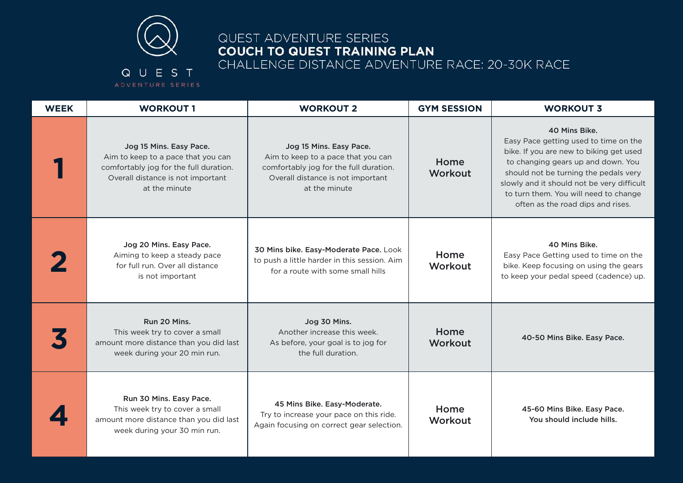

# QUEST ADVENTURE SERIES **COUCH TO QUEST TRAINING PLAN** CHALLENGE DISTANCE ADVENTURE RACE: 20-30K RACE

## QUEST ADVENTURE SERIES

| <b>WEEK</b> | <b>WORKOUT 1</b>                                                                                                                                              | <b>WORKOUT 2</b>                                                                                                                                              | <b>GYM SESSION</b> | <b>WORKOUT 3</b>                                                                                                                                                                                                                                                                                             |
|-------------|---------------------------------------------------------------------------------------------------------------------------------------------------------------|---------------------------------------------------------------------------------------------------------------------------------------------------------------|--------------------|--------------------------------------------------------------------------------------------------------------------------------------------------------------------------------------------------------------------------------------------------------------------------------------------------------------|
|             | Jog 15 Mins. Easy Pace.<br>Aim to keep to a pace that you can<br>comfortably jog for the full duration.<br>Overall distance is not important<br>at the minute | Jog 15 Mins. Easy Pace.<br>Aim to keep to a pace that you can<br>comfortably jog for the full duration.<br>Overall distance is not important<br>at the minute | Home<br>Workout    | 40 Mins Bike.<br>Easy Pace getting used to time on the<br>bike. If you are new to biking get used<br>to changing gears up and down. You<br>should not be turning the pedals very<br>slowly and it should not be very difficult<br>to turn them. You will need to change<br>often as the road dips and rises. |
|             | Jog 20 Mins. Easy Pace.<br>Aiming to keep a steady pace<br>for full run. Over all distance<br>is not important                                                | 30 Mins bike. Easy-Moderate Pace. Look<br>to push a little harder in this session. Aim<br>for a route with some small hills                                   | Home<br>Workout    | 40 Mins Bike.<br>Easy Pace Getting used to time on the<br>bike. Keep focusing on using the gears<br>to keep your pedal speed (cadence) up.                                                                                                                                                                   |
|             | Run 20 Mins.<br>This week try to cover a small<br>amount more distance than you did last<br>week during your 20 min run.                                      | Jog 30 Mins.<br>Another increase this week.<br>As before, your goal is to jog for<br>the full duration.                                                       | Home<br>Workout    | 40-50 Mins Bike. Easy Pace.                                                                                                                                                                                                                                                                                  |
|             | Run 30 Mins. Easy Pace.<br>This week try to cover a small<br>amount more distance than you did last<br>week during your 30 min run.                           | 45 Mins Bike. Easy-Moderate.<br>Try to increase your pace on this ride.<br>Again focusing on correct gear selection.                                          | Home<br>Workout    | 45-60 Mins Bike. Easy Pace.<br>You should include hills.                                                                                                                                                                                                                                                     |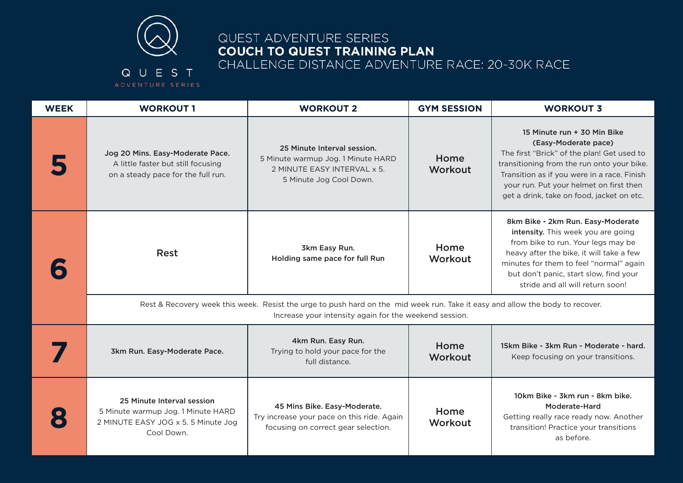

# QUEST ADVENTURE SERIES **COUCH TO QUEST TRAINING PLAN** CHALLENGE DISTANCE ADVENTURE RACE: 20-30K RACE

## QUEST ADVENTURE SERIES

| <b>WEEK</b> | <b>WORKOUT 1</b>                                                                                                                                                                        | <b>WORKOUT 2</b>                                                                                                            | <b>GYM SESSION</b> | <b>WORKOUT 3</b>                                                                                                                                                                                                                                                                       |  |
|-------------|-----------------------------------------------------------------------------------------------------------------------------------------------------------------------------------------|-----------------------------------------------------------------------------------------------------------------------------|--------------------|----------------------------------------------------------------------------------------------------------------------------------------------------------------------------------------------------------------------------------------------------------------------------------------|--|
|             | Jog 20 Mins. Easy-Moderate Pace.<br>A little faster but still focusing<br>on a steady pace for the full run.                                                                            | 25 Minute Interval session.<br>5 Minute warmup Jog. 1 Minute HARD<br>2 MINUTE EASY INTERVAL x 5.<br>5 Minute Jog Cool Down. | Home<br>Workout    | 15 Minute run + 30 Min Bike<br>(Easy-Moderate pace)<br>The first "Brick" of the plan! Get used to<br>transitioning from the run onto your bike.<br>Transition as if you were in a race. Finish<br>your run. Put your helmet on first then<br>get a drink, take on food, jacket on etc. |  |
|             | <b>Rest</b>                                                                                                                                                                             | 3km Easy Run.<br>Holding same pace for full Run                                                                             | Home<br>Workout    | 8km Bike - 2km Run. Easy-Moderate<br>intensity. This week you are going<br>from bike to run. Your legs may be<br>heavy after the bike, it will take a few<br>minutes for them to feel "normal" again<br>but don't panic, start slow, find your<br>stride and all will return soon!     |  |
|             | Rest & Recovery week this week. Resist the urge to push hard on the mid week run. Take it easy and allow the body to recover.<br>Increase your intensity again for the weekend session. |                                                                                                                             |                    |                                                                                                                                                                                                                                                                                        |  |
|             | 3km Run. Easy-Moderate Pace.                                                                                                                                                            | 4km Run. Easy Run.<br>Trying to hold your pace for the<br>full distance.                                                    | Home<br>Workout    | 15km Bike - 3km Run - Moderate - hard.<br>Keep focusing on your transitions.                                                                                                                                                                                                           |  |
|             | 25 Minute Interval session<br>5 Minute warmup Jog. 1 Minute HARD<br>2 MINUTE EASY JOG x 5.5 Minute Jog<br>Cool Down.                                                                    | 45 Mins Bike. Easy-Moderate.<br>Try increase your pace on this ride. Again<br>focusing on correct gear selection.           | Home<br>Workout    | 10km Bike - 3km run - 8km bike.<br>Moderate-Hard<br>Getting really race ready now. Another<br>transition! Practice your transitions<br>as before.                                                                                                                                      |  |